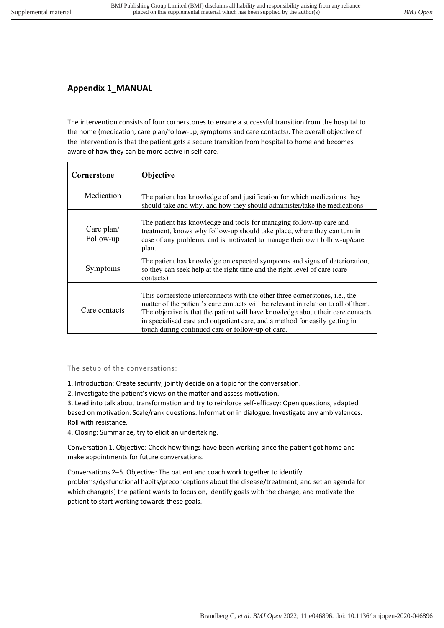# **Appendix 1\_MANUAL**

The intervention consists of four cornerstones to ensure a successful transition from the hospital to the home (medication, care plan/follow-up, symptoms and care contacts). The overall objective of the intervention is that the patient gets a secure transition from hospital to home and becomes aware of how they can be more active in self-care.

| Cornerstone             | <b>Objective</b>                                                                                                                                                                                                                                                                                                                                                                                 |
|-------------------------|--------------------------------------------------------------------------------------------------------------------------------------------------------------------------------------------------------------------------------------------------------------------------------------------------------------------------------------------------------------------------------------------------|
| Medication              | The patient has knowledge of and justification for which medications they<br>should take and why, and how they should administer/take the medications.                                                                                                                                                                                                                                           |
| Care plan/<br>Follow-up | The patient has knowledge and tools for managing follow-up care and<br>treatment, knows why follow-up should take place, where they can turn in<br>case of any problems, and is motivated to manage their own follow-up/care<br>plan.                                                                                                                                                            |
| Symptoms                | The patient has knowledge on expected symptoms and signs of deterioration,<br>so they can seek help at the right time and the right level of care (care<br>contacts)                                                                                                                                                                                                                             |
| Care contacts           | This cornerstone interconnects with the other three cornerstones, <i>i.e.</i> , the<br>matter of the patient's care contacts will be relevant in relation to all of them.<br>The objective is that the patient will have knowledge about their care contacts<br>in specialised care and outpatient care, and a method for easily getting in<br>touch during continued care or follow-up of care. |

# The setup of the conversations:

1. Introduction: Create security, jointly decide on a topic for the conversation.

2. Investigate the patient's views on the matter and assess motivation.

3. Lead into talk about transformation and try to reinforce self-efficacy: Open questions, adapted based on motivation. Scale/rank questions. Information in dialogue. Investigate any ambivalences. Roll with resistance.

4. Closing: Summarize, try to elicit an undertaking.

Conversation 1. Objective: Check how things have been working since the patient got home and make appointments for future conversations.

Conversations 2–5. Objective: The patient and coach work together to identify problems/dysfunctional habits/preconceptions about the disease/treatment, and set an agenda for which change(s) the patient wants to focus on, identify goals with the change, and motivate the patient to start working towards these goals.